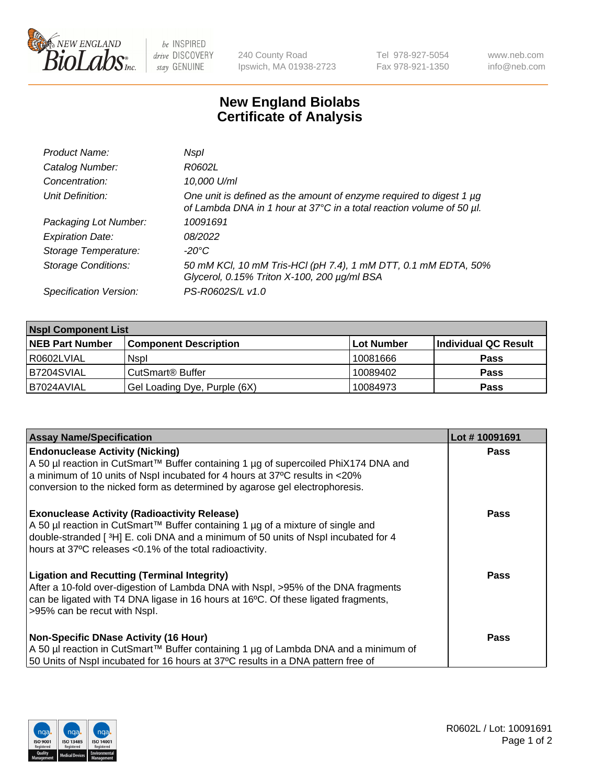

 $be$  INSPIRED drive DISCOVERY stay GENUINE

240 County Road Ipswich, MA 01938-2723 Tel 978-927-5054 Fax 978-921-1350 www.neb.com info@neb.com

## **New England Biolabs Certificate of Analysis**

| Product Name:              | Nspl                                                                                                                                             |
|----------------------------|--------------------------------------------------------------------------------------------------------------------------------------------------|
| Catalog Number:            | R0602L                                                                                                                                           |
| Concentration:             | 10,000 U/ml                                                                                                                                      |
| Unit Definition:           | One unit is defined as the amount of enzyme required to digest 1 $\mu$ g<br>of Lambda DNA in 1 hour at 37°C in a total reaction volume of 50 µl. |
| Packaging Lot Number:      | 10091691                                                                                                                                         |
| <b>Expiration Date:</b>    | 08/2022                                                                                                                                          |
| Storage Temperature:       | -20°C                                                                                                                                            |
| <b>Storage Conditions:</b> | 50 mM KCl, 10 mM Tris-HCl (pH 7.4), 1 mM DTT, 0.1 mM EDTA, 50%<br>Glycerol, 0.15% Triton X-100, 200 µg/ml BSA                                    |
| Specification Version:     | PS-R0602S/L v1.0                                                                                                                                 |

| <b>Nspl Component List</b> |                              |            |                      |  |  |
|----------------------------|------------------------------|------------|----------------------|--|--|
| <b>NEB Part Number</b>     | <b>Component Description</b> | Lot Number | Individual QC Result |  |  |
| R0602LVIAL                 | <b>Nspl</b>                  | 10081666   | <b>Pass</b>          |  |  |
| B7204SVIAL                 | CutSmart <sup>®</sup> Buffer | 10089402   | <b>Pass</b>          |  |  |
| I B7024AVIAL               | Gel Loading Dye, Purple (6X) | 10084973   | <b>Pass</b>          |  |  |

| <b>Assay Name/Specification</b>                                                                                                                                                                                                                                                          | Lot #10091691 |
|------------------------------------------------------------------------------------------------------------------------------------------------------------------------------------------------------------------------------------------------------------------------------------------|---------------|
| <b>Endonuclease Activity (Nicking)</b><br>  A 50 µl reaction in CutSmart™ Buffer containing 1 µg of supercoiled PhiX174 DNA and<br>a minimum of 10 units of Nspl incubated for 4 hours at 37°C results in <20%                                                                           | <b>Pass</b>   |
| conversion to the nicked form as determined by agarose gel electrophoresis.                                                                                                                                                                                                              |               |
| <b>Exonuclease Activity (Radioactivity Release)</b><br>A 50 µl reaction in CutSmart™ Buffer containing 1 µg of a mixture of single and<br>double-stranded [3H] E. coli DNA and a minimum of 50 units of Nspl incubated for 4<br>hours at 37°C releases <0.1% of the total radioactivity. | <b>Pass</b>   |
| Ligation and Recutting (Terminal Integrity)<br>After a 10-fold over-digestion of Lambda DNA with Nspl, >95% of the DNA fragments<br>can be ligated with T4 DNA ligase in 16 hours at 16 <sup>o</sup> C. Of these ligated fragments,<br>>95% can be recut with Nspl.                      | Pass          |
| Non-Specific DNase Activity (16 Hour)                                                                                                                                                                                                                                                    | <b>Pass</b>   |
| A 50 µl reaction in CutSmart™ Buffer containing 1 µg of Lambda DNA and a minimum of                                                                                                                                                                                                      |               |
| 50 Units of Nspl incubated for 16 hours at 37°C results in a DNA pattern free of                                                                                                                                                                                                         |               |